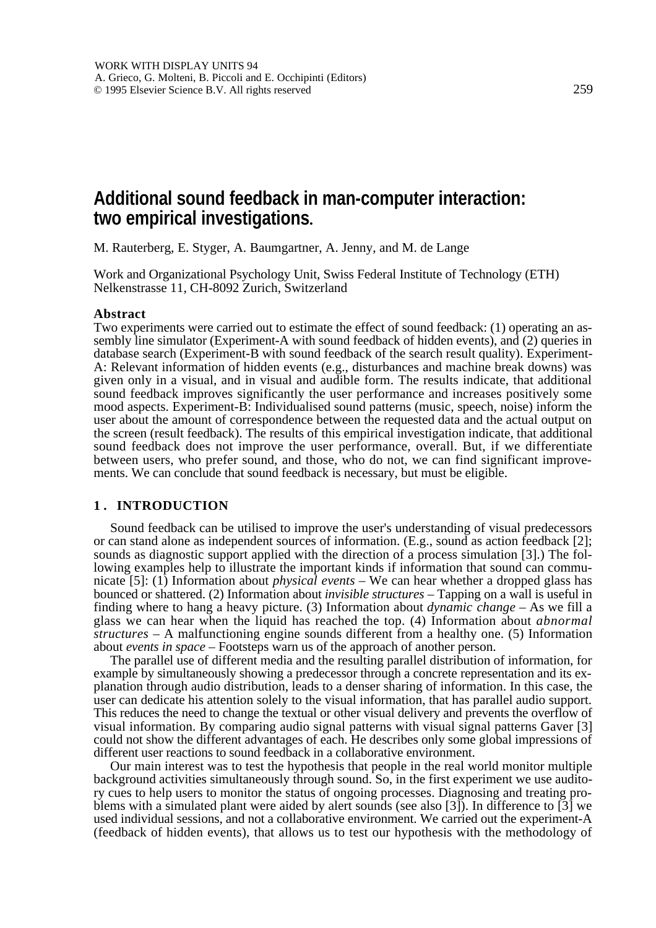# **Additional sound feedback in man-computer interaction: two empirical investigations.**

M. Rauterberg, E. Styger, A. Baumgartner, A. Jenny, and M. de Lange

Work and Organizational Psychology Unit, Swiss Federal Institute of Technology (ETH) Nelkenstrasse 11, CH-8092 Zurich, Switzerland

#### **Abstract**

Two experiments were carried out to estimate the effect of sound feedback: (1) operating an assembly line simulator (Experiment-A with sound feedback of hidden events), and (2) queries in database search (Experiment-B with sound feedback of the search result quality). Experiment-A: Relevant information of hidden events (e.g., disturbances and machine break downs) was given only in a visual, and in visual and audible form. The results indicate, that additional sound feedback improves significantly the user performance and increases positively some mood aspects. Experiment-B: Individualised sound patterns (music, speech, noise) inform the user about the amount of correspondence between the requested data and the actual output on the screen (result feedback). The results of this empirical investigation indicate, that additional sound feedback does not improve the user performance, overall. But, if we differentiate between users, who prefer sound, and those, who do not, we can find significant improvements. We can conclude that sound feedback is necessary, but must be eligible.

#### **1 . INTRODUCTION**

Sound feedback can be utilised to improve the user's understanding of visual predecessors or can stand alone as independent sources of information. (E.g., sound as action feedback [2]; sounds as diagnostic support applied with the direction of a process simulation [3].) The following examples help to illustrate the important kinds if information that sound can communicate [5]: (1) Information about *physical events* – We can hear whether a dropped glass has bounced or shattered. (2) Information about *invisible structures* – Tapping on a wall is useful in finding where to hang a heavy picture. (3) Information about *dynamic change* – As we fill a glass we can hear when the liquid has reached the top. (4) Information about *abnormal structures* – A malfunctioning engine sounds different from a healthy one. (5) Information about *events in space* – Footsteps warn us of the approach of another person.

The parallel use of different media and the resulting parallel distribution of information, for example by simultaneously showing a predecessor through a concrete representation and its explanation through audio distribution, leads to a denser sharing of information. In this case, the user can dedicate his attention solely to the visual information, that has parallel audio support. This reduces the need to change the textual or other visual delivery and prevents the overflow of visual information. By comparing audio signal patterns with visual signal patterns Gaver [3] could not show the different advantages of each. He describes only some global impressions of different user reactions to sound feedback in a collaborative environment.

Our main interest was to test the hypothesis that people in the real world monitor multiple background activities simultaneously through sound. So, in the first experiment we use auditory cues to help users to monitor the status of ongoing processes. Diagnosing and treating problems with a simulated plant were aided by alert sounds (see also [3]). In difference to [3] we used individual sessions, and not a collaborative environment. We carried out the experiment-A (feedback of hidden events), that allows us to test our hypothesis with the methodology of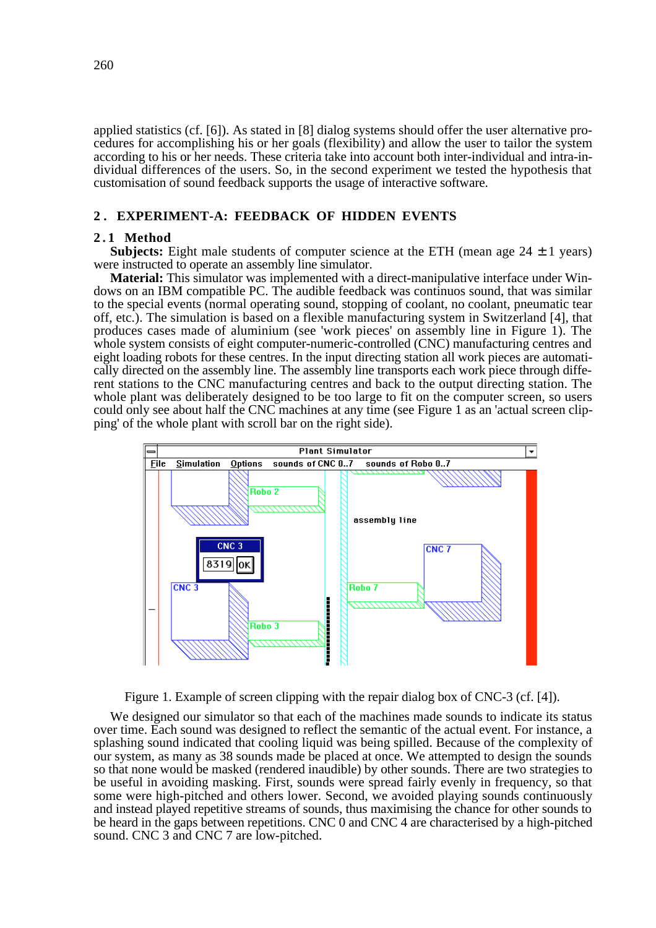applied statistics (cf. [6]). As stated in [8] dialog systems should offer the user alternative procedures for accomplishing his or her goals (flexibility) and allow the user to tailor the system according to his or her needs. These criteria take into account both inter-individual and intra-individual differences of the users. So, in the second experiment we tested the hypothesis that customisation of sound feedback supports the usage of interactive software.

# **2 . EXPERIMENT-A: FEEDBACK OF HIDDEN EVENTS**

## **2 . 1 Method**

**Subjects:** Eight male students of computer science at the ETH (mean age  $24 \pm 1$  years) were instructed to operate an assembly line simulator.

**Material:** This simulator was implemented with a direct-manipulative interface under Windows on an IBM compatible PC. The audible feedback was continuos sound, that was similar to the special events (normal operating sound, stopping of coolant, no coolant, pneumatic tear off, etc.). The simulation is based on a flexible manufacturing system in Switzerland [4], that produces cases made of aluminium (see 'work pieces' on assembly line in Figure 1). The whole system consists of eight computer-numeric-controlled (CNC) manufacturing centres and eight loading robots for these centres. In the input directing station all work pieces are automatically directed on the assembly line. The assembly line transports each work piece through different stations to the CNC manufacturing centres and back to the output directing station. The whole plant was deliberately designed to be too large to fit on the computer screen, so users could only see about half the CNC machines at any time (see Figure 1 as an 'actual screen clipping' of the whole plant with scroll bar on the right side).



Figure 1. Example of screen clipping with the repair dialog box of CNC-3 (cf. [4]).

We designed our simulator so that each of the machines made sounds to indicate its status over time. Each sound was designed to reflect the semantic of the actual event. For instance, a splashing sound indicated that cooling liquid was being spilled. Because of the complexity of our system, as many as 38 sounds made be placed at once. We attempted to design the sounds so that none would be masked (rendered inaudible) by other sounds. There are two strategies to be useful in avoiding masking. First, sounds were spread fairly evenly in frequency, so that some were high-pitched and others lower. Second, we avoided playing sounds continuously and instead played repetitive streams of sounds, thus maximising the chance for other sounds to be heard in the gaps between repetitions. CNC 0 and CNC 4 are characterised by a high-pitched sound. CNC 3 and CNC 7 are low-pitched.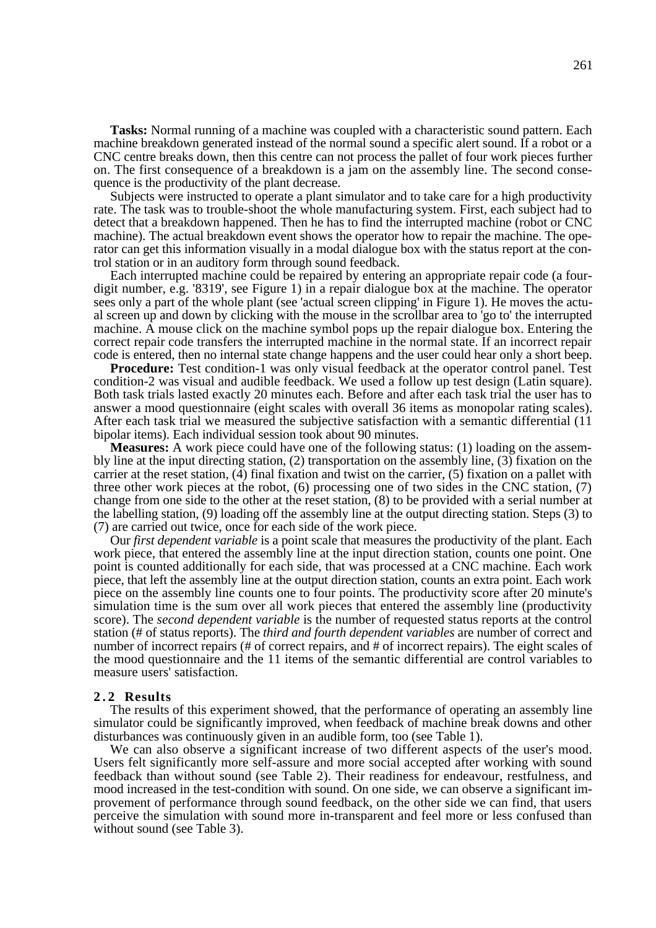**Tasks:** Normal running of a machine was coupled with a characteristic sound pattern. Each machine breakdown generated instead of the normal sound a specific alert sound. If a robot or a CNC centre breaks down, then this centre can not process the pallet of four work pieces further on. The first consequence of a breakdown is a jam on the assembly line. The second consequence is the productivity of the plant decrease.

Subjects were instructed to operate a plant simulator and to take care for a high productivity rate. The task was to trouble-shoot the whole manufacturing system. First, each subject had to detect that a breakdown happened. Then he has to find the interrupted machine (robot or CNC machine). The actual breakdown event shows the operator how to repair the machine. The operator can get this information visually in a modal dialogue box with the status report at the control station or in an auditory form through sound feedback.

Each interrupted machine could be repaired by entering an appropriate repair code (a fourdigit number, e.g. '8319', see Figure 1) in a repair dialogue box at the machine. The operator sees only a part of the whole plant (see 'actual screen clipping' in Figure 1). He moves the actual screen up and down by clicking with the mouse in the scrollbar area to 'go to' the interrupted machine. A mouse click on the machine symbol pops up the repair dialogue box. Entering the correct repair code transfers the interrupted machine in the normal state. If an incorrect repair code is entered, then no internal state change happens and the user could hear only a short beep.

**Procedure:** Test condition-1 was only visual feedback at the operator control panel. Test condition-2 was visual and audible feedback. We used a follow up test design (Latin square). Both task trials lasted exactly 20 minutes each. Before and after each task trial the user has to answer a mood questionnaire (eight scales with overall 36 items as monopolar rating scales). After each task trial we measured the subjective satisfaction with a semantic differential (11 bipolar items). Each individual session took about 90 minutes.

**Measures:** A work piece could have one of the following status: (1) loading on the assembly line at the input directing station, (2) transportation on the assembly line, (3) fixation on the carrier at the reset station, (4) final fixation and twist on the carrier, (5) fixation on a pallet with three other work pieces at the robot, (6) processing one of two sides in the CNC station, (7) change from one side to the other at the reset station, (8) to be provided with a serial number at the labelling station, (9) loading off the assembly line at the output directing station. Steps (3) to (7) are carried out twice, once for each side of the work piece.

Our *first dependent variable* is a point scale that measures the productivity of the plant. Each work piece, that entered the assembly line at the input direction station, counts one point. One point is counted additionally for each side, that was processed at a CNC machine. Each work piece, that left the assembly line at the output direction station, counts an extra point. Each work piece on the assembly line counts one to four points. The productivity score after 20 minute's simulation time is the sum over all work pieces that entered the assembly line (productivity score). The *second dependent variable* is the number of requested status reports at the control station (# of status reports). The *third and fourth dependent variables* are number of correct and number of incorrect repairs (# of correct repairs, and # of incorrect repairs). The eight scales of the mood questionnaire and the 11 items of the semantic differential are control variables to measure users' satisfaction.

#### **2.2 Results**

The results of this experiment showed, that the performance of operating an assembly line simulator could be significantly improved, when feedback of machine break downs and other disturbances was continuously given in an audible form, too (see Table 1).

We can also observe a significant increase of two different aspects of the user's mood. Users felt significantly more self-assure and more social accepted after working with sound feedback than without sound (see Table 2). Their readiness for endeavour, restfulness, and mood increased in the test-condition with sound. On one side, we can observe a significant improvement of performance through sound feedback, on the other side we can find, that users perceive the simulation with sound more in-transparent and feel more or less confused than without sound (see Table 3).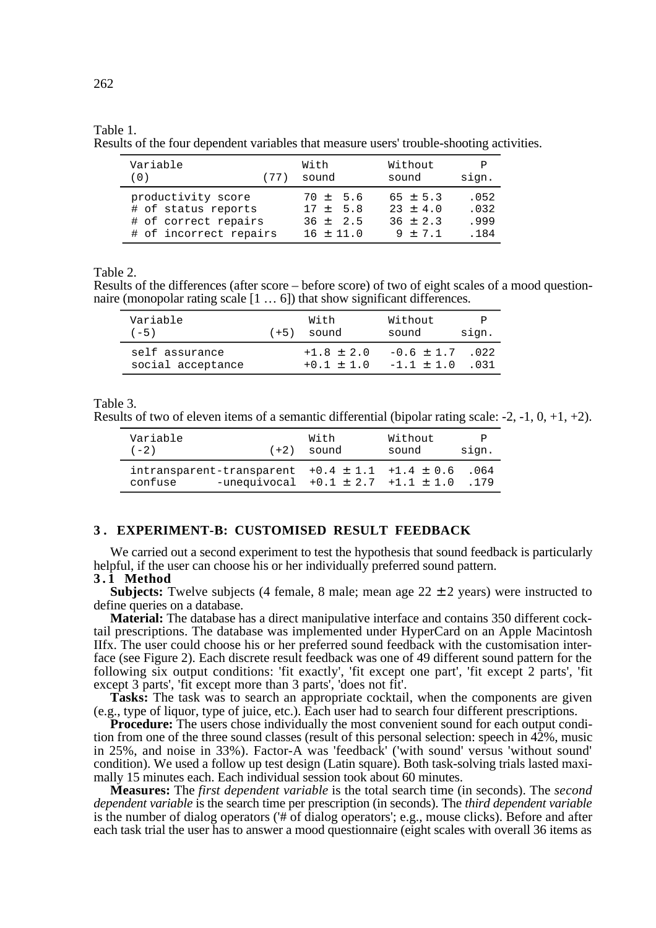#### Table 1.

Results of the four dependent variables that measure users' trouble-shooting activities.

| Variable<br>(77)<br>(0) | With<br>sound | Without<br>sound | Ρ<br>sign. |
|-------------------------|---------------|------------------|------------|
| productivity score      | $70 \pm 5.6$  | $65 \pm 5.3$     | .052       |
| # of status reports     | $17 + 5.8$    | $23 + 4.0$       | .032       |
| # of correct repairs    | $36 + 2.5$    | $36 \pm 2.3$     | .999       |
| # of incorrect repairs  | $16 + 11.0$   | $9 + 7.1$        | .184       |

Table 2.

Results of the differences (after score – before score) of two of eight scales of a mood questionnaire (monopolar rating scale [1 … 6]) that show significant differences.

| Variable<br>$(-5)$                  | $(+5)$ | With<br>sound                  | Without<br>sound                      | sign. |
|-------------------------------------|--------|--------------------------------|---------------------------------------|-------|
| self assurance<br>social acceptance |        | $+1.8 \pm 2.0$<br>$+0.1 + 1.0$ | $-0.6 \pm 1.7$ .022<br>$-1.1 \pm 1.0$ | .031  |

Table 3.

Results of two of eleven items of a semantic differential (bipolar rating scale:  $-2$ ,  $-1$ ,  $0$ ,  $+1$ ,  $+2$ ).

| Variable | $(+2)$                                                                                               | With  | Without | P            |
|----------|------------------------------------------------------------------------------------------------------|-------|---------|--------------|
| $(-2)$   |                                                                                                      | sound | sound   | sign.        |
| confuse  | intransparent-transparent $+0.4 \pm 1.1 +1.4 \pm 0.6$<br>$-$ unequivocal $+0.1 \pm 2.7 +1.1 \pm 1.0$ |       |         | .064<br>.179 |

## **3 . EXPERIMENT-B: CUSTOMISED RESULT FEEDBACK**

We carried out a second experiment to test the hypothesis that sound feedback is particularly helpful, if the user can choose his or her individually preferred sound pattern.

#### **3 . 1 Method**

**Subjects:** Twelve subjects (4 female, 8 male; mean age  $22 \pm 2$  years) were instructed to define queries on a database.

**Material:** The database has a direct manipulative interface and contains 350 different cocktail prescriptions. The database was implemented under HyperCard on an Apple Macintosh IIfx. The user could choose his or her preferred sound feedback with the customisation interface (see Figure 2). Each discrete result feedback was one of 49 different sound pattern for the following six output conditions: 'fit exactly', 'fit except one part', 'fit except 2 parts', 'fit except 3 parts', 'fit except more than 3 parts', 'does not fit'.

Tasks: The task was to search an appropriate cocktail, when the components are given (e.g., type of liquor, type of juice, etc.). Each user had to search four different prescriptions.

**Procedure:** The users chose individually the most convenient sound for each output condition from one of the three sound classes (result of this personal selection: speech in 42%, music in 25%, and noise in 33%). Factor-A was 'feedback' ('with sound' versus 'without sound' condition). We used a follow up test design (Latin square). Both task-solving trials lasted maximally 15 minutes each. Each individual session took about 60 minutes.

**Measures:** The *first dependent variable* is the total search time (in seconds). The *second dependent variable* is the search time per prescription (in seconds). The *third dependent variable* is the number of dialog operators ('# of dialog operators'; e.g., mouse clicks). Before and after each task trial the user has to answer a mood questionnaire (eight scales with overall 36 items as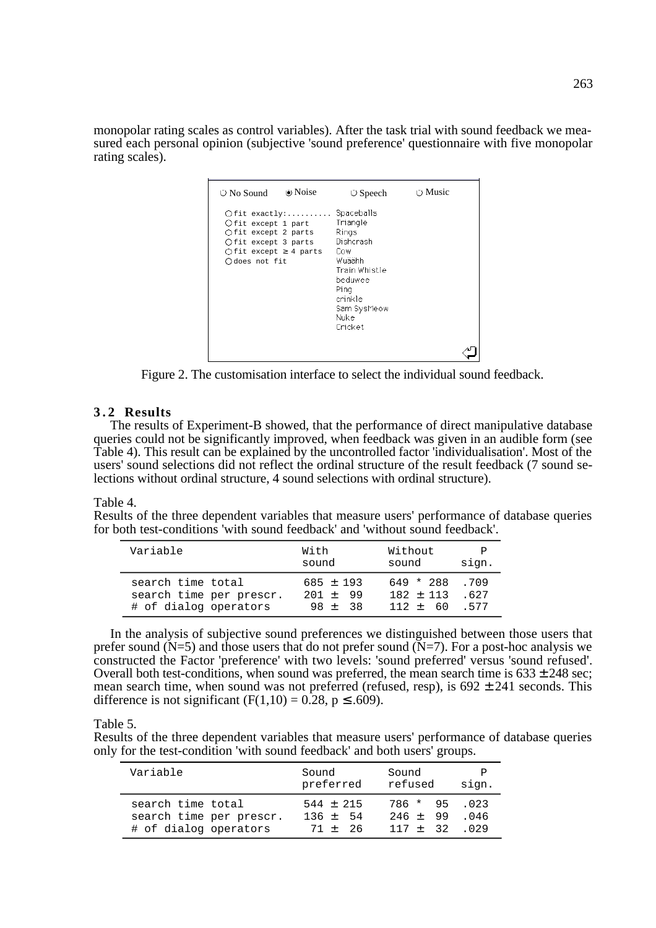monopolar rating scales as control variables). After the task trial with sound feedback we measured each personal opinion (subjective 'sound preference' questionnaire with five monopolar rating scales).

| $\circ$ No Sound                                                                                                   | • Noise          | $\circ$ Speech                                                                                                                                  | $\bigcirc$ Music |
|--------------------------------------------------------------------------------------------------------------------|------------------|-------------------------------------------------------------------------------------------------------------------------------------------------|------------------|
| Ofit except 1 part<br>Ofit except 2 parts<br>Ofit except 3 parts<br>$O$ fit except $\geq 4$ parts<br>Odoes not fit | $O$ fit exactly: | Spaceballs<br>Triangle<br>Rings<br>Dishcrash<br>Cow<br>Wuäähh<br>Train Whistle<br>beduwee<br>Pina<br>crinkle<br>Sam SysMeow<br>Nukel<br>Cricket |                  |
|                                                                                                                    |                  |                                                                                                                                                 |                  |

Figure 2. The customisation interface to select the individual sound feedback.

# **3.2 Results**

The results of Experiment-B showed, that the performance of direct manipulative database queries could not be significantly improved, when feedback was given in an audible form (see Table 4). This result can be explained by the uncontrolled factor 'individualisation'. Most of the users' sound selections did not reflect the ordinal structure of the result feedback (7 sound selections without ordinal structure, 4 sound selections with ordinal structure).

## Table 4.

Results of the three dependent variables that measure users' performance of database queries for both test-conditions 'with sound feedback' and 'without sound feedback'.

| Variable                | With          | Without     | P     |
|-------------------------|---------------|-------------|-------|
|                         | sound         | sound       | sign. |
| search time total       | $685 \pm 193$ | 649 * 288   | .709  |
| search time per prescr. | $201 + 99$    | $182 + 113$ | .627  |
| # of dialog operators   | $98 + 38$     | $112 + 60$  | 577   |

In the analysis of subjective sound preferences we distinguished between those users that prefer sound  $(N=5)$  and those users that do not prefer sound  $(N=7)$ . For a post-hoc analysis we constructed the Factor 'preference' with two levels: 'sound preferred' versus 'sound refused'. Overall both test-conditions, when sound was preferred, the mean search time is  $633 \pm 248$  sec; mean search time, when sound was not preferred (refused, resp), is  $692 \pm 241$  seconds. This difference is not significant (F(1,10) = 0.28,  $p \le 0.609$ ).

Table 5.

Results of the three dependent variables that measure users' performance of database queries only for the test-condition 'with sound feedback' and both users' groups.

| Variable                | Sound         | Sound          | P     |
|-------------------------|---------------|----------------|-------|
|                         | preferred     | refused        | sign. |
| search time total       | $544 \pm 215$ | $786 * 95 023$ | .046  |
| search time per prescr. | $136 + 54$    | $246 + 99$     |       |
| # of dialog operators   | $71 + 26$     | $117 + 32$ 029 |       |